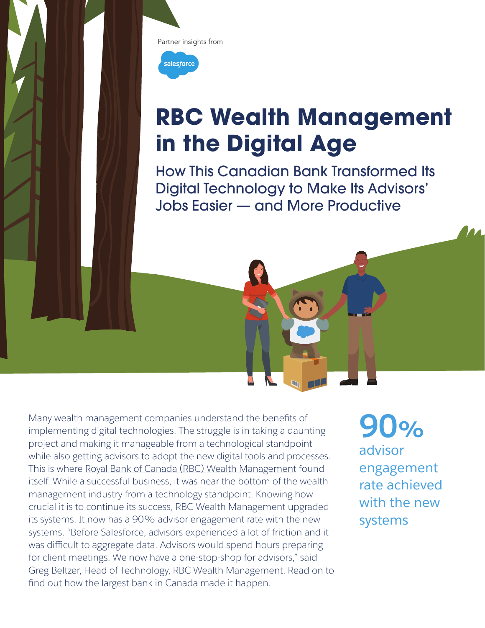



# **RBC Wealth Management in the Digital Age**

How This Canadian Bank Transformed Its Digital Technology to Make Its Advisors' Jobs Easier — and More Productive

Many wealth management companies understand the benefits of implementing digital technologies. The struggle is in taking a daunting project and making it manageable from a technological standpoint while also getting advisors to adopt the new digital tools and processes. This is where Royal Bank of Canada (RBC) Wealth Management found itself. While a successful business, it was near the bottom of the wealth management industry from a technology standpoint. Knowing how crucial it is to continue its success, RBC Wealth Management upgraded its systems. It now has a 90% advisor engagement rate with the new systems. "Before Salesforce, advisors experienced a lot of friction and it was difficult to aggregate data. Advisors would spend hours preparing for client meetings. We now have a one-stop-shop for advisors," said Greg Beltzer, Head of Technology, RBC Wealth Management. Read on to find out how the largest bank in Canada made it happen.

**90%** advisor engagement rate achieved with the new systems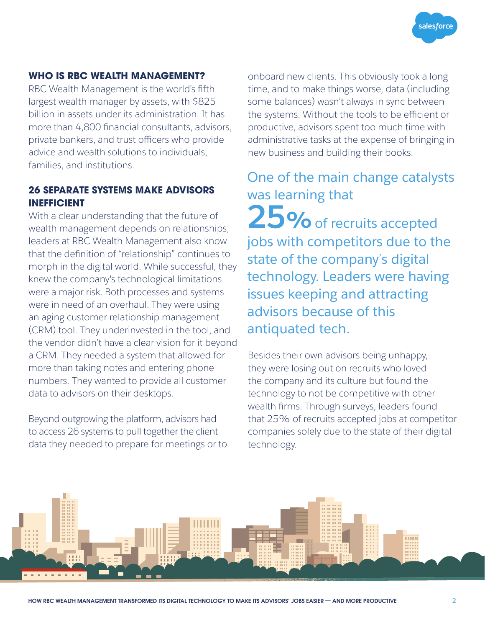

# **WHO IS RBC WEALTH MANAGEMENT?**

RBC Wealth Management is the world's fifth largest wealth manager by assets, with \$825 billion in assets under its administration. It has more than 4,800 financial consultants, advisors, private bankers, and trust officers who provide advice and wealth solutions to individuals, families, and institutions.

# **26 SEPARATE SYSTEMS MAKE ADVISORS INEFFICIENT**

With a clear understanding that the future of wealth management depends on relationships, leaders at RBC Wealth Management also know that the definition of "relationship" continues to morph in the digital world. While successful, they knew the company's technological limitations were a major risk. Both processes and systems were in need of an overhaul. They were using an aging customer relationship management (CRM) tool. They underinvested in the tool, and the vendor didn't have a clear vision for it beyond a CRM. They needed a system that allowed for more than taking notes and entering phone numbers. They wanted to provide all customer data to advisors on their desktops.

Beyond outgrowing the platform, advisors had to access 26 systems to pull together the client data they needed to prepare for meetings or to onboard new clients. This obviously took a long time, and to make things worse, data (including some balances) wasn't always in sync between the systems. Without the tools to be efficient or productive, advisors spent too much time with administrative tasks at the expense of bringing in new business and building their books.

# One of the main change catalysts was learning that

25% of recruits accepted jobs with competitors due to the state of the company's digital technology. Leaders were having issues keeping and attracting advisors because of this antiquated tech.

Besides their own advisors being unhappy, they were losing out on recruits who loved the company and its culture but found the technology to not be competitive with other wealth firms. Through surveys, leaders found that 25% of recruits accepted jobs at competitor companies solely due to the state of their digital technology.

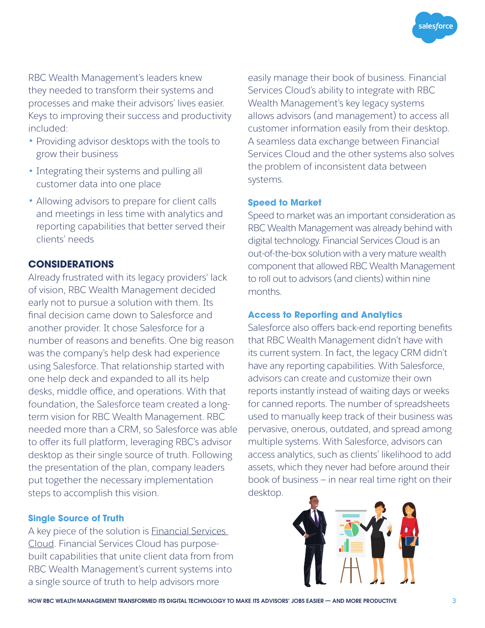salesforce

RBC Wealth Management's leaders knew they needed to transform their systems and processes and make their advisors' lives easier. Keys to improving their success and productivity included:

- Providing advisor desktops with the tools to grow their business
- Integrating their systems and pulling all customer data into one place
- Allowing advisors to prepare for client calls and meetings in less time with analytics and reporting capabilities that better served their clients' needs

# **CONSIDERATIONS**

Already frustrated with its legacy providers' lack of vision, RBC Wealth Management decided early not to pursue a solution with them. Its final decision came down to Salesforce and another provider. It chose Salesforce for a number of reasons and benefits. One big reason was the company's help desk had experience using Salesforce. That relationship started with one help deck and expanded to all its help desks, middle office, and operations. With that foundation, the Salesforce team created a longterm vision for RBC Wealth Management. RBC needed more than a CRM, so Salesforce was able to offer its full platform, leveraging RBC's advisor desktop as their single source of truth. Following the presentation of the plan, company leaders put together the necessary implementation steps to accomplish this vision.

#### **Single Source of Truth**

A key piece of the solution is Financial Services Cloud. Financial Services Cloud has purposebuilt capabilities that unite client data from from RBC Wealth Management's current systems into a single source of truth to help advisors more

easily manage their book of business. Financial Services Cloud's ability to integrate with RBC Wealth Management's key legacy systems allows advisors (and management) to access all customer information easily from their desktop. A seamless data exchange between Financial Services Cloud and the other systems also solves the problem of inconsistent data between systems.

#### **Speed to Market**

Speed to market was an important consideration as RBC Wealth Management was already behind with digital technology. Financial Services Cloud is an out-of-the-box solution with a very mature wealth component that allowed RBC Wealth Management to roll out to advisors (and clients) within nine months.

#### **Access to Reporting and Analytics**

Salesforce also offers back-end reporting benefits that RBC Wealth Management didn't have with its current system. In fact, the legacy CRM didn't have any reporting capabilities. With Salesforce, advisors can create and customize their own reports instantly instead of waiting days or weeks for canned reports. The number of spreadsheets used to manually keep track of their business was pervasive, onerous, outdated, and spread among multiple systems. With Salesforce, advisors can access analytics, such as clients' likelihood to add assets, which they never had before around their book of business — in near real time right on their desktop.

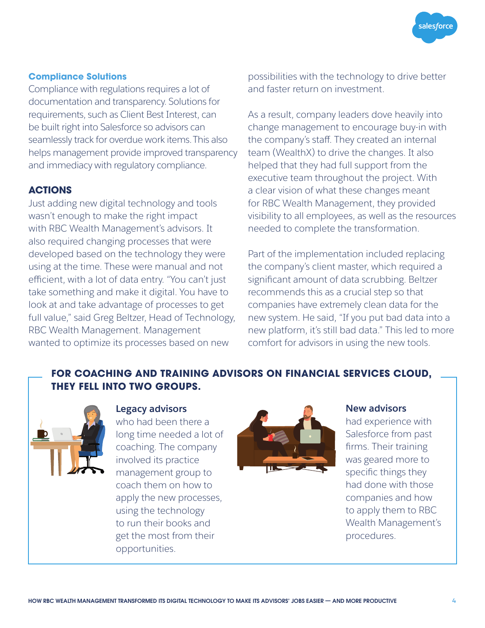# **Compliance Solutions**

Compliance with regulations requires a lot of documentation and transparency. Solutions for requirements, such as Client Best Interest, can be built right into Salesforce so advisors can seamlessly track for overdue work items.This also helps management provide improved transparency and immediacy with regulatory compliance.

#### **ACTIONS**

Just adding new digital technology and tools wasn't enough to make the right impact with RBC Wealth Management's advisors. It also required changing processes that were developed based on the technology they were using at the time. These were manual and not efficient, with a lot of data entry. "You can't just take something and make it digital. You have to look at and take advantage of processes to get full value," said Greg Beltzer, Head of Technology, RBC Wealth Management. Management wanted to optimize its processes based on new

possibilities with the technology to drive better and faster return on investment.

As a result, company leaders dove heavily into change management to encourage buy-in with the company's staff. They created an internal team (WealthX) to drive the changes. It also helped that they had full support from the executive team throughout the project. With a clear vision of what these changes meant for RBC Wealth Management, they provided visibility to all employees, as well as the resources needed to complete the transformation.

Part of the implementation included replacing the company's client master, which required a significant amount of data scrubbing. Beltzer recommends this as a crucial step so that companies have extremely clean data for the new system. He said, "If you put bad data into a new platform, it's still bad data." This led to more comfort for advisors in using the new tools.

# **FOR COACHING AND TRAINING ADVISORS ON FINANCIAL SERVICES CLOUD, THEY FELL INTO TWO GROUPS.**



who had been there a long time needed a lot of coaching. The company involved its practice management group to coach them on how to apply the new processes, using the technology to run their books and get the most from their opportunities.



had experience with Salesforce from past firms. Their training was geared more to specific things they had done with those companies and how to apply them to RBC Wealth Management's procedures.

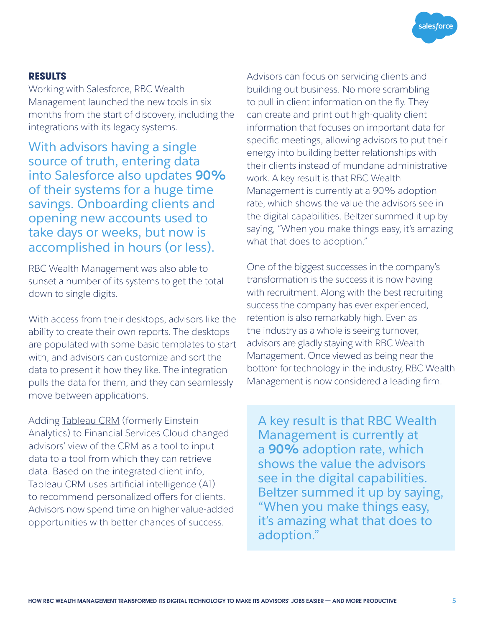

# **RESULTS**

Working with Salesforce, RBC Wealth Management launched the new tools in six months from the start of discovery, including the integrations with its legacy systems.

With advisors having a single source of truth, entering data into Salesforce also updates **90%** of their systems for a huge time savings. Onboarding clients and opening new accounts used to take days or weeks, but now is accomplished in hours (or less).

RBC Wealth Management was also able to sunset a number of its systems to get the total down to single digits.

With access from their desktops, advisors like the ability to create their own reports. The desktops are populated with some basic templates to start with, and advisors can customize and sort the data to present it how they like. The integration pulls the data for them, and they can seamlessly move between applications.

Adding Tableau CRM (formerly Einstein Analytics) to Financial Services Cloud changed advisors' view of the CRM as a tool to input data to a tool from which they can retrieve data. Based on the integrated client info, Tableau CRM uses artificial intelligence (AI) to recommend personalized offers for clients. Advisors now spend time on higher value-added opportunities with better chances of success.

Advisors can focus on servicing clients and building out business. No more scrambling to pull in client information on the fly. They can create and print out high-quality client information that focuses on important data for specific meetings, allowing advisors to put their energy into building better relationships with their clients instead of mundane administrative work. A key result is that RBC Wealth Management is currently at a 90% adoption rate, which shows the value the advisors see in the digital capabilities. Beltzer summed it up by saying, "When you make things easy, it's amazing what that does to adoption."

One of the biggest successes in the company's transformation is the success it is now having with recruitment. Along with the best recruiting success the company has ever experienced, retention is also remarkably high. Even as the industry as a whole is seeing turnover, advisors are gladly staying with RBC Wealth Management. Once viewed as being near the bottom for technology in the industry, RBC Wealth Management is now considered a leading firm.

A key result is that RBC Wealth Management is currently at a **90%** adoption rate, which shows the value the advisors see in the digital capabilities. Beltzer summed it up by saying, "When you make things easy, it's amazing what that does to adoption."